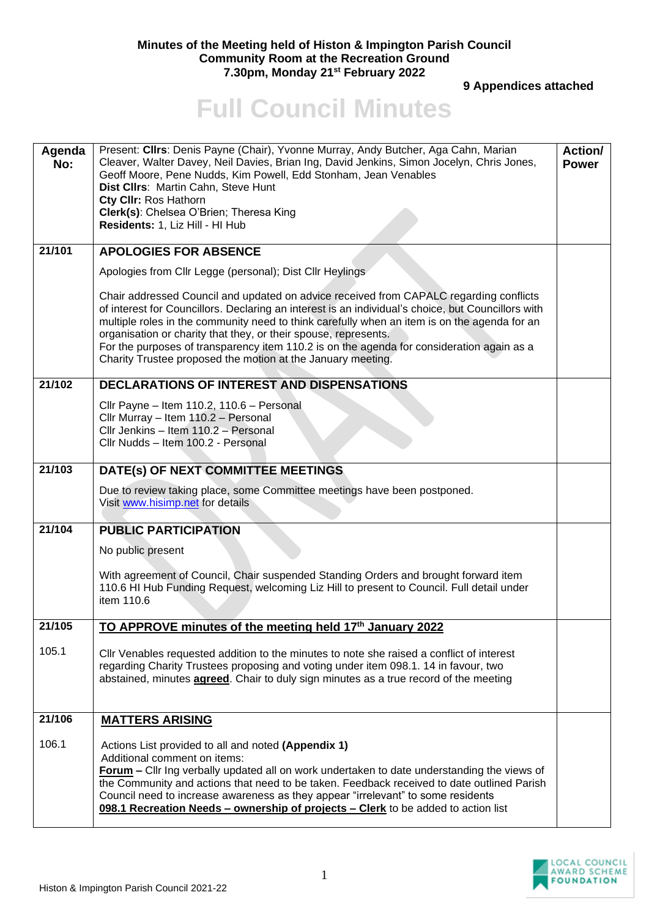## **Minutes of the Meeting held of Histon & Impington Parish Council Community Room at the Recreation Ground 7.30pm, Monday 21st February 2022**

 **9 Appendices attached** 

## **Full Council Minutes**

| Agenda<br>No: | Present: Cllrs: Denis Payne (Chair), Yvonne Murray, Andy Butcher, Aga Cahn, Marian<br>Cleaver, Walter Davey, Neil Davies, Brian Ing, David Jenkins, Simon Jocelyn, Chris Jones,<br>Geoff Moore, Pene Nudds, Kim Powell, Edd Stonham, Jean Venables<br>Dist Cllrs: Martin Cahn, Steve Hunt<br>Cty CIIr: Ros Hathorn<br>Clerk(s): Chelsea O'Brien; Theresa King<br>Residents: 1, Liz Hill - HI Hub                                                                                                                            | Action/<br><b>Power</b> |
|---------------|-----------------------------------------------------------------------------------------------------------------------------------------------------------------------------------------------------------------------------------------------------------------------------------------------------------------------------------------------------------------------------------------------------------------------------------------------------------------------------------------------------------------------------|-------------------------|
| 21/101        | <b>APOLOGIES FOR ABSENCE</b>                                                                                                                                                                                                                                                                                                                                                                                                                                                                                                |                         |
|               | Apologies from Cllr Legge (personal); Dist Cllr Heylings                                                                                                                                                                                                                                                                                                                                                                                                                                                                    |                         |
|               | Chair addressed Council and updated on advice received from CAPALC regarding conflicts<br>of interest for Councillors. Declaring an interest is an individual's choice, but Councillors with<br>multiple roles in the community need to think carefully when an item is on the agenda for an<br>organisation or charity that they, or their spouse, represents.<br>For the purposes of transparency item 110.2 is on the agenda for consideration again as a<br>Charity Trustee proposed the motion at the January meeting. |                         |
| 21/102        | DECLARATIONS OF INTEREST AND DISPENSATIONS                                                                                                                                                                                                                                                                                                                                                                                                                                                                                  |                         |
|               | Cllr Payne - Item 110.2, 110.6 - Personal<br>Cllr Murray - Item 110.2 - Personal<br>Cllr Jenkins - Item 110.2 - Personal<br>Cllr Nudds - Item 100.2 - Personal                                                                                                                                                                                                                                                                                                                                                              |                         |
| 21/103        | DATE(s) OF NEXT COMMITTEE MEETINGS                                                                                                                                                                                                                                                                                                                                                                                                                                                                                          |                         |
|               | Due to review taking place, some Committee meetings have been postponed.<br>Visit www.hisimp.net for details                                                                                                                                                                                                                                                                                                                                                                                                                |                         |
| 21/104        | <b>PUBLIC PARTICIPATION</b>                                                                                                                                                                                                                                                                                                                                                                                                                                                                                                 |                         |
|               | No public present                                                                                                                                                                                                                                                                                                                                                                                                                                                                                                           |                         |
|               | With agreement of Council, Chair suspended Standing Orders and brought forward item<br>110.6 HI Hub Funding Request, welcoming Liz Hill to present to Council. Full detail under<br>item 110.6                                                                                                                                                                                                                                                                                                                              |                         |
| 21/105        | TO APPROVE minutes of the meeting held 17th January 2022                                                                                                                                                                                                                                                                                                                                                                                                                                                                    |                         |
| 105.1         | CIIr Venables requested addition to the minutes to note she raised a conflict of interest<br>regarding Charity Trustees proposing and voting under item 098.1. 14 in favour, two<br>abstained, minutes <b>agreed</b> . Chair to duly sign minutes as a true record of the meeting                                                                                                                                                                                                                                           |                         |
| 21/106        | <b>MATTERS ARISING</b>                                                                                                                                                                                                                                                                                                                                                                                                                                                                                                      |                         |
| 106.1         | Actions List provided to all and noted (Appendix 1)<br>Additional comment on items:<br><b>Forum</b> – Cllr Ing verbally updated all on work undertaken to date understanding the views of<br>the Community and actions that need to be taken. Feedback received to date outlined Parish<br>Council need to increase awareness as they appear "irrelevant" to some residents<br>098.1 Recreation Needs - ownership of projects - Clerk to be added to action list                                                            |                         |

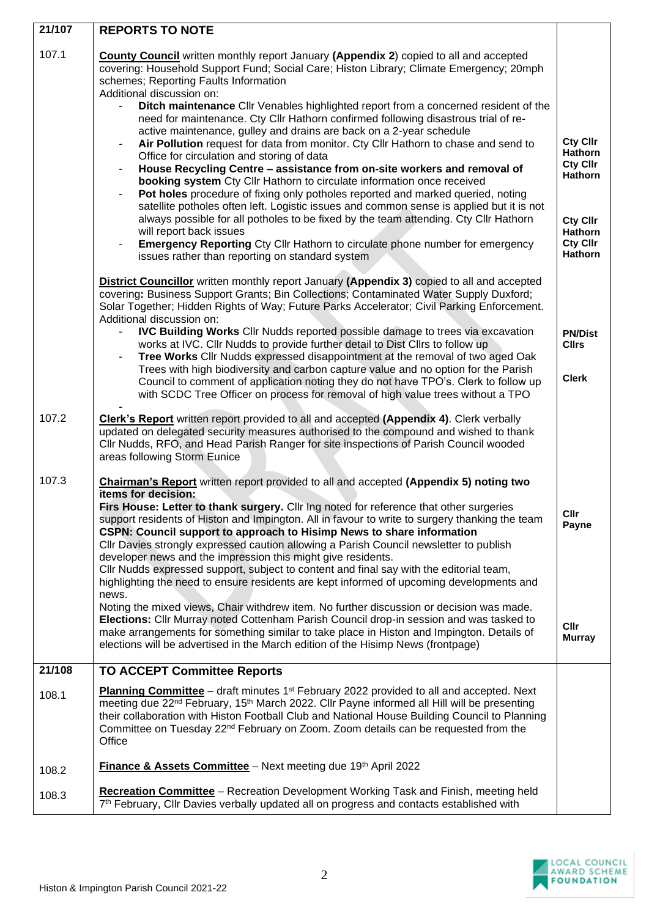| 21/107 | <b>REPORTS TO NOTE</b>                                                                                                                                                                                                                                                                                                                                                                                                                                                                                                                                                                                                      |                                                          |
|--------|-----------------------------------------------------------------------------------------------------------------------------------------------------------------------------------------------------------------------------------------------------------------------------------------------------------------------------------------------------------------------------------------------------------------------------------------------------------------------------------------------------------------------------------------------------------------------------------------------------------------------------|----------------------------------------------------------|
| 107.1  | County Council written monthly report January (Appendix 2) copied to all and accepted<br>covering: Household Support Fund; Social Care; Histon Library; Climate Emergency; 20mph<br>schemes; Reporting Faults Information<br>Additional discussion on:<br>Ditch maintenance Cllr Venables highlighted report from a concerned resident of the<br>$\blacksquare$<br>need for maintenance. Cty Cllr Hathorn confirmed following disastrous trial of re-<br>active maintenance, gulley and drains are back on a 2-year schedule                                                                                                |                                                          |
|        | Air Pollution request for data from monitor. Cty Cllr Hathorn to chase and send to<br>$\qquad \qquad \blacksquare$<br>Office for circulation and storing of data<br>House Recycling Centre - assistance from on-site workers and removal of<br>booking system Cty Cllr Hathorn to circulate information once received<br>Pot holes procedure of fixing only potholes reported and marked queried, noting<br>satellite potholes often left. Logistic issues and common sense is applied but it is not                                                                                                                        | <b>Cty Cllr</b><br><b>Hathorn</b><br>Cty Cllr<br>Hathorn |
|        | always possible for all potholes to be fixed by the team attending. Cty Cllr Hathorn<br>will report back issues<br><b>Emergency Reporting Cty Cllr Hathorn to circulate phone number for emergency</b><br>issues rather than reporting on standard system                                                                                                                                                                                                                                                                                                                                                                   | <b>Cty Cllr</b><br>Hathorn<br>Cty Cllr<br><b>Hathorn</b> |
|        | <b>District Councillor</b> written monthly report January (Appendix 3) copied to all and accepted<br>covering: Business Support Grants; Bin Collections; Contaminated Water Supply Duxford;<br>Solar Together; Hidden Rights of Way; Future Parks Accelerator; Civil Parking Enforcement.<br>Additional discussion on:                                                                                                                                                                                                                                                                                                      |                                                          |
|        | <b>IVC Building Works Cllr Nudds reported possible damage to trees via excavation</b><br>works at IVC. Cllr Nudds to provide further detail to Dist Cllrs to follow up<br>Tree Works Cllr Nudds expressed disappointment at the removal of two aged Oak                                                                                                                                                                                                                                                                                                                                                                     | <b>PN/Dist</b><br><b>Cllrs</b>                           |
|        | Trees with high biodiversity and carbon capture value and no option for the Parish<br>Council to comment of application noting they do not have TPO's. Clerk to follow up<br>with SCDC Tree Officer on process for removal of high value trees without a TPO                                                                                                                                                                                                                                                                                                                                                                | <b>Clerk</b>                                             |
| 107.2  | <b>Clerk's Report</b> written report provided to all and accepted (Appendix 4). Clerk verbally<br>updated on delegated security measures authorised to the compound and wished to thank<br>Cllr Nudds, RFO, and Head Parish Ranger for site inspections of Parish Council wooded<br>areas following Storm Eunice                                                                                                                                                                                                                                                                                                            |                                                          |
| 107.3  | <b>Chairman's Report</b> written report provided to all and accepted (Appendix 5) noting two<br>items for decision:                                                                                                                                                                                                                                                                                                                                                                                                                                                                                                         |                                                          |
|        | Firs House: Letter to thank surgery. Cllr Ing noted for reference that other surgeries<br>support residents of Histon and Impington. All in favour to write to surgery thanking the team<br>CSPN: Council support to approach to Hisimp News to share information<br>Cllr Davies strongly expressed caution allowing a Parish Council newsletter to publish<br>developer news and the impression this might give residents.<br>Cllr Nudds expressed support, subject to content and final say with the editorial team,<br>highlighting the need to ensure residents are kept informed of upcoming developments and<br>news. | <b>Cllr</b><br>Payne                                     |
|        | Noting the mixed views, Chair withdrew item. No further discussion or decision was made.<br>Elections: Cllr Murray noted Cottenham Parish Council drop-in session and was tasked to<br>make arrangements for something similar to take place in Histon and Impington. Details of<br>elections will be advertised in the March edition of the Hisimp News (frontpage)                                                                                                                                                                                                                                                        | <b>Cllr</b><br><b>Murray</b>                             |
| 21/108 | <b>TO ACCEPT Committee Reports</b>                                                                                                                                                                                                                                                                                                                                                                                                                                                                                                                                                                                          |                                                          |
| 108.1  | <b>Planning Committee</b> – draft minutes 1 <sup>st</sup> February 2022 provided to all and accepted. Next<br>meeting due 22 <sup>nd</sup> February, 15 <sup>th</sup> March 2022. Cllr Payne informed all Hill will be presenting<br>their collaboration with Histon Football Club and National House Building Council to Planning<br>Committee on Tuesday 22 <sup>nd</sup> February on Zoom. Zoom details can be requested from the<br>Office                                                                                                                                                                              |                                                          |
| 108.2  | Finance & Assets Committee - Next meeting due 19th April 2022                                                                                                                                                                                                                                                                                                                                                                                                                                                                                                                                                               |                                                          |
| 108.3  | <b>Recreation Committee</b> - Recreation Development Working Task and Finish, meeting held<br>7 <sup>th</sup> February, Cllr Davies verbally updated all on progress and contacts established with                                                                                                                                                                                                                                                                                                                                                                                                                          |                                                          |

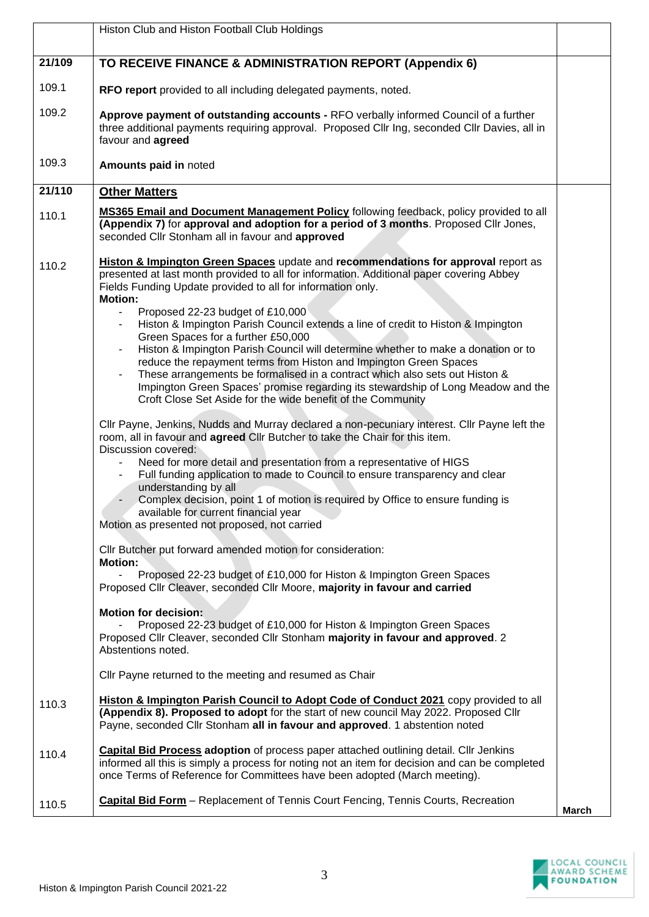|        | Histon Club and Histon Football Club Holdings                                                                                                                                                                                                                                                                                                                                                                                                                                                                                                                                                                                                                                                                                                                                                                                              |       |
|--------|--------------------------------------------------------------------------------------------------------------------------------------------------------------------------------------------------------------------------------------------------------------------------------------------------------------------------------------------------------------------------------------------------------------------------------------------------------------------------------------------------------------------------------------------------------------------------------------------------------------------------------------------------------------------------------------------------------------------------------------------------------------------------------------------------------------------------------------------|-------|
| 21/109 | TO RECEIVE FINANCE & ADMINISTRATION REPORT (Appendix 6)                                                                                                                                                                                                                                                                                                                                                                                                                                                                                                                                                                                                                                                                                                                                                                                    |       |
| 109.1  | RFO report provided to all including delegated payments, noted.                                                                                                                                                                                                                                                                                                                                                                                                                                                                                                                                                                                                                                                                                                                                                                            |       |
| 109.2  | Approve payment of outstanding accounts - RFO verbally informed Council of a further<br>three additional payments requiring approval. Proposed Cllr Ing, seconded Cllr Davies, all in<br>favour and agreed                                                                                                                                                                                                                                                                                                                                                                                                                                                                                                                                                                                                                                 |       |
| 109.3  | Amounts paid in noted                                                                                                                                                                                                                                                                                                                                                                                                                                                                                                                                                                                                                                                                                                                                                                                                                      |       |
| 21/110 | <b>Other Matters</b>                                                                                                                                                                                                                                                                                                                                                                                                                                                                                                                                                                                                                                                                                                                                                                                                                       |       |
| 110.1  | <b>MS365 Email and Document Management Policy following feedback, policy provided to all</b><br>(Appendix 7) for approval and adoption for a period of 3 months. Proposed Cllr Jones,<br>seconded Cllr Stonham all in favour and approved                                                                                                                                                                                                                                                                                                                                                                                                                                                                                                                                                                                                  |       |
| 110.2  | Histon & Impington Green Spaces update and recommendations for approval report as<br>presented at last month provided to all for information. Additional paper covering Abbey<br>Fields Funding Update provided to all for information only.<br><b>Motion:</b><br>Proposed 22-23 budget of £10,000<br>Histon & Impington Parish Council extends a line of credit to Histon & Impington<br>Green Spaces for a further £50,000<br>Histon & Impington Parish Council will determine whether to make a donation or to<br>$\blacksquare$<br>reduce the repayment terms from Histon and Impington Green Spaces<br>These arrangements be formalised in a contract which also sets out Histon &<br>Impington Green Spaces' promise regarding its stewardship of Long Meadow and the<br>Croft Close Set Aside for the wide benefit of the Community |       |
|        | Cllr Payne, Jenkins, Nudds and Murray declared a non-pecuniary interest. Cllr Payne left the<br>room, all in favour and agreed Cllr Butcher to take the Chair for this item.<br>Discussion covered:<br>Need for more detail and presentation from a representative of HIGS<br>Full funding application to made to Council to ensure transparency and clear<br>understanding by all<br>Complex decision, point 1 of motion is required by Office to ensure funding is<br>available for current financial year<br>Motion as presented not proposed, not carried                                                                                                                                                                                                                                                                              |       |
|        | Cllr Butcher put forward amended motion for consideration:<br><b>Motion:</b><br>Proposed 22-23 budget of £10,000 for Histon & Impington Green Spaces<br>Proposed Cllr Cleaver, seconded Cllr Moore, majority in favour and carried<br><b>Motion for decision:</b>                                                                                                                                                                                                                                                                                                                                                                                                                                                                                                                                                                          |       |
|        | Proposed 22-23 budget of £10,000 for Histon & Impington Green Spaces<br>Proposed Cllr Cleaver, seconded Cllr Stonham majority in favour and approved. 2<br>Abstentions noted.                                                                                                                                                                                                                                                                                                                                                                                                                                                                                                                                                                                                                                                              |       |
|        | Cllr Payne returned to the meeting and resumed as Chair                                                                                                                                                                                                                                                                                                                                                                                                                                                                                                                                                                                                                                                                                                                                                                                    |       |
| 110.3  | Histon & Impington Parish Council to Adopt Code of Conduct 2021 copy provided to all<br>(Appendix 8). Proposed to adopt for the start of new council May 2022. Proposed Cllr<br>Payne, seconded Cllr Stonham all in favour and approved. 1 abstention noted                                                                                                                                                                                                                                                                                                                                                                                                                                                                                                                                                                                |       |
| 110.4  | Capital Bid Process adoption of process paper attached outlining detail. Cllr Jenkins<br>informed all this is simply a process for noting not an item for decision and can be completed<br>once Terms of Reference for Committees have been adopted (March meeting).                                                                                                                                                                                                                                                                                                                                                                                                                                                                                                                                                                       |       |
| 110.5  | Capital Bid Form - Replacement of Tennis Court Fencing, Tennis Courts, Recreation                                                                                                                                                                                                                                                                                                                                                                                                                                                                                                                                                                                                                                                                                                                                                          | March |